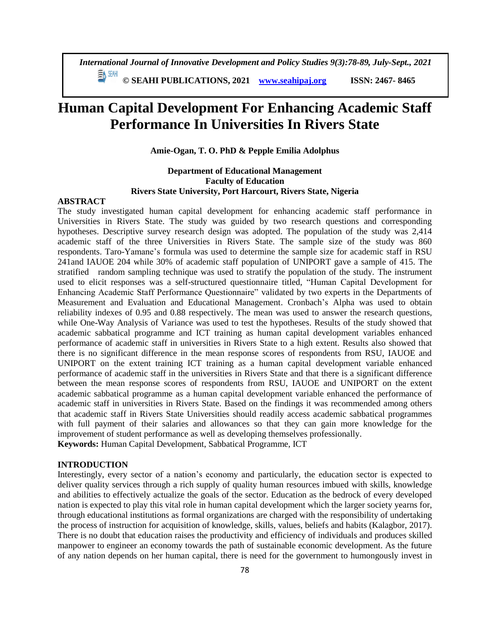**© SEAHI PUBLICATIONS, 2021 [www.seahipaj.org](http://www.seahipaj.org/) ISSN: 2467- 8465**

# **Human Capital Development For Enhancing Academic Staff Performance In Universities In Rivers State**

**Amie-Ogan, T. O. PhD & Pepple Emilia Adolphus**

# **Department of Educational Management Faculty of Education Rivers State University, Port Harcourt, Rivers State, Nigeria**

#### **ABSTRACT**

The study investigated human capital development for enhancing academic staff performance in Universities in Rivers State. The study was guided by two research questions and corresponding hypotheses. Descriptive survey research design was adopted. The population of the study was 2,414 academic staff of the three Universities in Rivers State. The sample size of the study was 860 respondents. Taro-Yamane's formula was used to determine the sample size for academic staff in RSU 241and IAUOE 204 while 30% of academic staff population of UNIPORT gave a sample of 415. The stratified random sampling technique was used to stratify the population of the study. The instrument used to elicit responses was a self-structured questionnaire titled, "Human Capital Development for Enhancing Academic Staff Performance Questionnaire" validated by two experts in the Departments of Measurement and Evaluation and Educational Management. Cronbach's Alpha was used to obtain reliability indexes of 0.95 and 0.88 respectively. The mean was used to answer the research questions, while One-Way Analysis of Variance was used to test the hypotheses. Results of the study showed that academic sabbatical programme and ICT training as human capital development variables enhanced performance of academic staff in universities in Rivers State to a high extent. Results also showed that there is no significant difference in the mean response scores of respondents from RSU, IAUOE and UNIPORT on the extent training ICT training as a human capital development variable enhanced performance of academic staff in the universities in Rivers State and that there is a significant difference between the mean response scores of respondents from RSU, IAUOE and UNIPORT on the extent academic sabbatical programme as a human capital development variable enhanced the performance of academic staff in universities in Rivers State. Based on the findings it was recommended among others that academic staff in Rivers State Universities should readily access academic sabbatical programmes with full payment of their salaries and allowances so that they can gain more knowledge for the improvement of student performance as well as developing themselves professionally. **Keywords:** Human Capital Development, Sabbatical Programme, ICT

#### **INTRODUCTION**

Interestingly, every sector of a nation's economy and particularly, the education sector is expected to deliver quality services through a rich supply of quality human resources imbued with skills, knowledge and abilities to effectively actualize the goals of the sector. Education as the bedrock of every developed nation is expected to play this vital role in human capital development which the larger society yearns for, through educational institutions as formal organizations are charged with the responsibility of undertaking the process of instruction for acquisition of knowledge, skills, values, beliefs and habits (Kalagbor, 2017). There is no doubt that education raises the productivity and efficiency of individuals and produces skilled manpower to engineer an economy towards the path of sustainable economic development. As the future of any nation depends on her human capital, there is need for the government to humongously invest in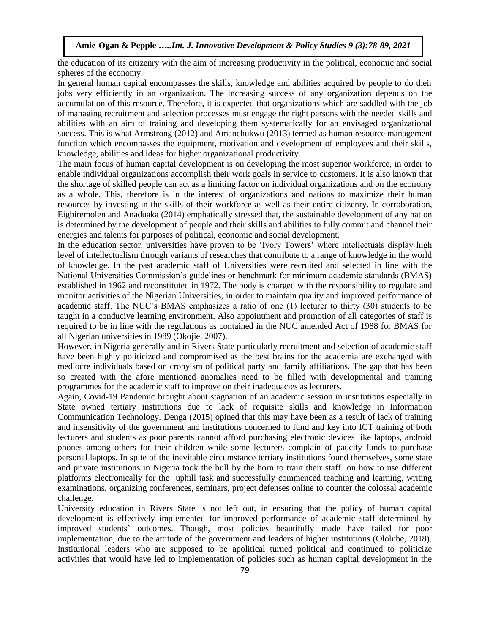the education of its citizenry with the aim of increasing productivity in the political, economic and social spheres of the economy.

In general human capital encompasses the skills, knowledge and abilities acquired by people to do their jobs very efficiently in an organization. The increasing success of any organization depends on the accumulation of this resource. Therefore, it is expected that organizations which are saddled with the job of managing recruitment and selection processes must engage the right persons with the needed skills and abilities with an aim of training and developing them systematically for an envisaged organizational success. This is what Armstrong (2012) and Amanchukwu (2013) termed as human resource management function which encompasses the equipment, motivation and development of employees and their skills, knowledge, abilities and ideas for higher organizational productivity.

The main focus of human capital development is on developing the most superior workforce, in order to enable individual organizations accomplish their work goals in service to customers. It is also known that the shortage of skilled people can act as a limiting factor on individual organizations and on the economy as a whole. This, therefore is in the interest of organizations and nations to maximize their human resources by investing in the skills of their workforce as well as their entire citizenry. In corroboration, Eigbiremolen and Anaduaka (2014) emphatically stressed that, the sustainable development of any nation is determined by the development of people and their skills and abilities to fully commit and channel their energies and talents for purposes of political, economic and social development.

In the education sector, universities have proven to be 'Ivory Towers' where intellectuals display high level of intellectualism through variants of researches that contribute to a range of knowledge in the world of knowledge. In the past academic staff of Universities were recruited and selected in line with the National Universities Commission's guidelines or benchmark for minimum academic standards (BMAS) established in 1962 and reconstituted in 1972. The body is charged with the responsibility to regulate and monitor activities of the Nigerian Universities, in order to maintain quality and improved performance of academic staff. The NUC's BMAS emphasizes a ratio of one (1) lecturer to thirty (30) students to be taught in a conducive learning environment. Also appointment and promotion of all categories of staff is required to be in line with the regulations as contained in the NUC amended Act of 1988 for BMAS for all Nigerian universities in 1989 (Okojie, 2007).

However, in Nigeria generally and in Rivers State particularly recruitment and selection of academic staff have been highly politicized and compromised as the best brains for the academia are exchanged with mediocre individuals based on cronyism of political party and family affiliations. The gap that has been so created with the afore mentioned anomalies need to be filled with developmental and training programmes for the academic staff to improve on their inadequacies as lecturers.

Again, Covid-19 Pandemic brought about stagnation of an academic session in institutions especially in State owned tertiary institutions due to lack of requisite skills and knowledge in Information Communication Technology. Denga (2015) opined that this may have been as a result of lack of training and insensitivity of the government and institutions concerned to fund and key into ICT training of both lecturers and students as poor parents cannot afford purchasing electronic devices like laptops, android phones among others for their children while some lecturers complain of paucity funds to purchase personal laptops. In spite of the inevitable circumstance tertiary institutions found themselves, some state and private institutions in Nigeria took the bull by the horn to train their staff on how to use different platforms electronically for the uphill task and successfully commenced teaching and learning, writing examinations, organizing conferences, seminars, project defenses online to counter the colossal academic challenge.

University education in Rivers State is not left out, in ensuring that the policy of human capital development is effectively implemented for improved performance of academic staff determined by improved students' outcomes. Though, most policies beautifully made have failed for poor implementation, due to the attitude of the government and leaders of higher institutions (Ololube, 2018). Institutional leaders who are supposed to be apolitical turned political and continued to politicize activities that would have led to implementation of policies such as human capital development in the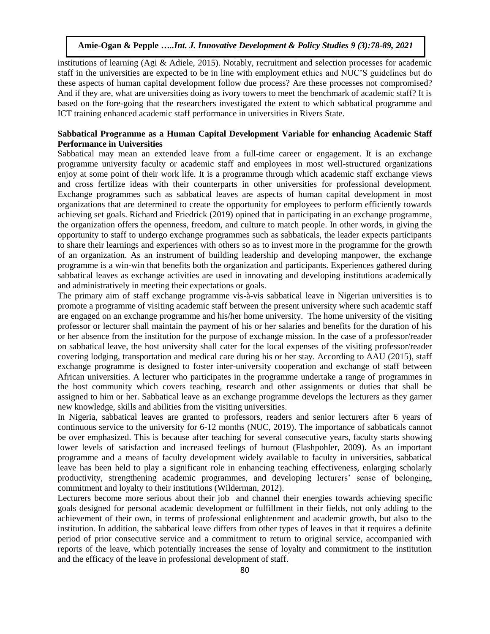institutions of learning (Agi & Adiele, 2015). Notably, recruitment and selection processes for academic staff in the universities are expected to be in line with employment ethics and NUC'S guidelines but do these aspects of human capital development follow due process? Are these processes not compromised? And if they are, what are universities doing as ivory towers to meet the benchmark of academic staff? It is based on the fore-going that the researchers investigated the extent to which sabbatical programme and ICT training enhanced academic staff performance in universities in Rivers State.

# **Sabbatical Programme as a Human Capital Development Variable for enhancing Academic Staff Performance in Universities**

Sabbatical may mean an extended leave from a full-time career or engagement. It is an exchange programme university faculty or academic staff and employees in most well-structured organizations enjoy at some point of their work life. It is a programme through which academic staff exchange views and cross fertilize ideas with their counterparts in other universities for professional development. Exchange programmes such as sabbatical leaves are aspects of human capital development in most organizations that are determined to create the opportunity for employees to perform efficiently towards achieving set goals. Richard and Friedrick (2019) opined that in participating in an exchange programme, the organization offers the openness, freedom, and culture to match people. In other words, in giving the opportunity to staff to undergo exchange programmes such as sabbaticals, the leader expects participants to share their learnings and experiences with others so as to invest more in the programme for the growth of an organization. As an instrument of building leadership and developing manpower, the exchange programme is a win-win that benefits both the organization and participants. Experiences gathered during sabbatical leaves as exchange activities are used in innovating and developing institutions academically and administratively in meeting their expectations or goals.

The primary aim of staff exchange programme vis-à-vis sabbatical leave in Nigerian universities is to promote a programme of visiting academic staff between the present university where such academic staff are engaged on an exchange programme and his/her home university. The home university of the visiting professor or lecturer shall maintain the payment of his or her salaries and benefits for the duration of his or her absence from the institution for the purpose of exchange mission. In the case of a professor/reader on sabbatical leave, the host university shall cater for the local expenses of the visiting professor/reader covering lodging, transportation and medical care during his or her stay. According to AAU (2015), staff exchange programme is designed to foster inter-university cooperation and exchange of staff between African universities. A lecturer who participates in the programme undertake a range of programmes in the host community which covers teaching, research and other assignments or duties that shall be assigned to him or her. Sabbatical leave as an exchange programme develops the lecturers as they garner new knowledge, skills and abilities from the visiting universities.

In Nigeria, sabbatical leaves are granted to professors, readers and senior lecturers after 6 years of continuous service to the university for 6-12 months (NUC, 2019). The importance of sabbaticals cannot be over emphasized. This is because after teaching for several consecutive years, faculty starts showing lower levels of satisfaction and increased feelings of burnout (Flashpohler, 2009). As an important programme and a means of faculty development widely available to faculty in universities, sabbatical leave has been held to play a significant role in enhancing teaching effectiveness, enlarging scholarly productivity, strengthening academic programmes, and developing lecturers' sense of belonging, commitment and loyalty to their institutions (Wilderman, 2012).

Lecturers become more serious about their job and channel their energies towards achieving specific goals designed for personal academic development or fulfillment in their fields, not only adding to the achievement of their own, in terms of professional enlightenment and academic growth, but also to the institution. In addition, the sabbatical leave differs from other types of leaves in that it requires a definite period of prior consecutive service and a commitment to return to original service, accompanied with reports of the leave, which potentially increases the sense of loyalty and commitment to the institution and the efficacy of the leave in professional development of staff.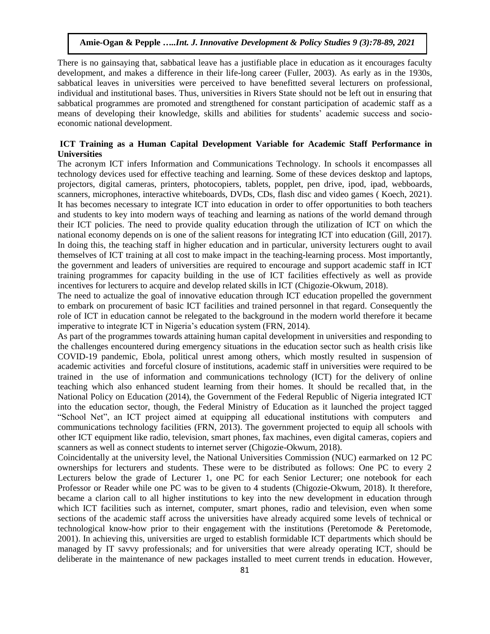There is no gainsaying that, sabbatical leave has a justifiable place in education as it encourages faculty development, and makes a difference in their life-long career (Fuller, 2003). As early as in the 1930s, sabbatical leaves in universities were perceived to have benefitted several lecturers on professional, individual and institutional bases. Thus, universities in Rivers State should not be left out in ensuring that sabbatical programmes are promoted and strengthened for constant participation of academic staff as a means of developing their knowledge, skills and abilities for students' academic success and socioeconomic national development.

# **ICT Training as a Human Capital Development Variable for Academic Staff Performance in Universities**

The acronym ICT infers Information and Communications Technology. In schools it encompasses all technology devices used for effective teaching and learning. Some of these devices desktop and laptops, projectors, digital cameras, printers, photocopiers, tablets, popplet, pen drive, ipod, ipad, webboards, scanners, microphones, interactive whiteboards, DVDs, CDs, flash disc and video games ( Koech, 2021). It has becomes necessary to integrate ICT into education in order to offer opportunities to both teachers and students to key into modern ways of teaching and learning as nations of the world demand through their ICT policies. The need to provide quality education through the utilization of ICT on which the national economy depends on is one of the salient reasons for integrating ICT into education (Gill, 2017). In doing this, the teaching staff in higher education and in particular, university lecturers ought to avail themselves of ICT training at all cost to make impact in the teaching-learning process. Most importantly, the government and leaders of universities are required to encourage and support academic staff in ICT training programmes for capacity building in the use of ICT facilities effectively as well as provide incentives for lecturers to acquire and develop related skills in ICT (Chigozie-Okwum, 2018).

The need to actualize the goal of innovative education through ICT education propelled the government to embark on procurement of basic ICT facilities and trained personnel in that regard. Consequently the role of ICT in education cannot be relegated to the background in the modern world therefore it became imperative to integrate ICT in Nigeria's education system (FRN, 2014).

As part of the programmes towards attaining human capital development in universities and responding to the challenges encountered during emergency situations in the education sector such as health crisis like COVID-19 pandemic, Ebola, political unrest among others, which mostly resulted in suspension of academic activities and forceful closure of institutions, academic staff in universities were required to be trained in the use of information and communications technology (ICT) for the delivery of online teaching which also enhanced student learning from their homes. It should be recalled that, in the National Policy on Education (2014), the Government of the Federal Republic of Nigeria integrated ICT into the education sector, though, the Federal Ministry of Education as it launched the project tagged "School Net", an ICT project aimed at equipping all educational institutions with computers and communications technology facilities (FRN, 2013). The government projected to equip all schools with other ICT equipment like radio, television, smart phones, fax machines, even digital cameras, copiers and scanners as well as connect students to internet server (Chigozie-Okwum, 2018).

Coincidentally at the university level, the National Universities Commission (NUC) earmarked on 12 PC ownerships for lecturers and students. These were to be distributed as follows: One PC to every 2 Lecturers below the grade of Lecturer 1, one PC for each Senior Lecturer; one notebook for each Professor or Reader while one PC was to be given to 4 students (Chigozie-Okwum, 2018). It therefore, became a clarion call to all higher institutions to key into the new development in education through which ICT facilities such as internet, computer, smart phones, radio and television, even when some sections of the academic staff across the universities have already acquired some levels of technical or technological know-how prior to their engagement with the institutions (Peretomode & Peretomode, 2001). In achieving this, universities are urged to establish formidable ICT departments which should be managed by IT savvy professionals; and for universities that were already operating ICT, should be deliberate in the maintenance of new packages installed to meet current trends in education. However,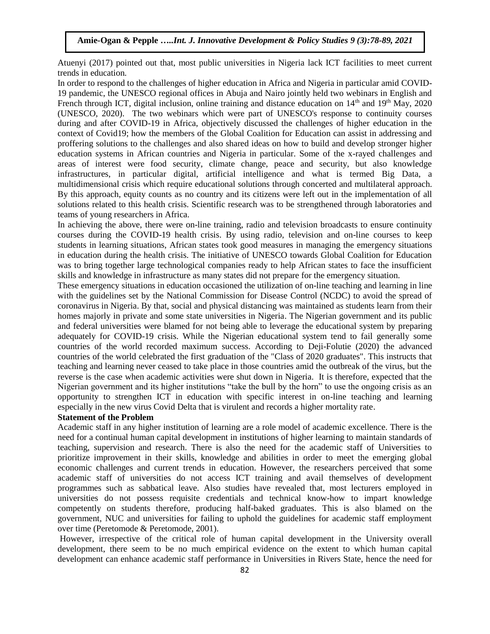Atuenyi (2017) pointed out that, most public universities in Nigeria lack ICT facilities to meet current trends in education.

In order to respond to the challenges of higher education in Africa and Nigeria in particular amid COVID-19 pandemic, the UNESCO regional offices in Abuja and Nairo jointly held two webinars in English and French through ICT, digital inclusion, online training and distance education on 14<sup>th</sup> and 19<sup>th</sup> May, 2020 (UNESCO, 2020). The two webinars which were part of UNESCO's response to continuity courses during and after COVID-19 in Africa, objectively discussed the challenges of higher education in the context of Covid19; how the members of the Global Coalition for Education can assist in addressing and proffering solutions to the challenges and also shared ideas on how to build and develop stronger higher education systems in African countries and Nigeria in particular. Some of the x-rayed challenges and areas of interest were food security, climate change, peace and security, but also knowledge infrastructures, in particular digital, artificial intelligence and what is termed Big Data, a multidimensional crisis which require educational solutions through concerted and multilateral approach. By this approach, equity counts as no country and its citizens were left out in the implementation of all solutions related to this health crisis. Scientific research was to be strengthened through laboratories and teams of young researchers in Africa.

In achieving the above, there were on-line training, radio and television broadcasts to ensure continuity courses during the COVID-19 health crisis. By using radio, television and on-line courses to keep students in learning situations, African states took good measures in managing the emergency situations in education during the health crisis. The initiative of UNESCO towards Global Coalition for Education was to bring together large technological companies ready to help African states to face the insufficient skills and knowledge in infrastructure as many states did not prepare for the emergency situation.

These emergency situations in education occasioned the utilization of on-line teaching and learning in line with the guidelines set by the National Commission for Disease Control (NCDC) to avoid the spread of coronavirus in Nigeria. By that, social and physical distancing was maintained as students learn from their homes majorly in private and some state universities in Nigeria. The Nigerian government and its public and federal universities were blamed for not being able to leverage the educational system by preparing adequately for COVID-19 crisis. While the Nigerian educational system tend to fail generally some countries of the world recorded maximum success. According to Deji-Folutie (2020) the advanced countries of the world celebrated the first graduation of the "Class of 2020 graduates". This instructs that teaching and learning never ceased to take place in those countries amid the outbreak of the virus, but the reverse is the case when academic activities were shut down in Nigeria. It is therefore, expected that the Nigerian government and its higher institutions "take the bull by the horn" to use the ongoing crisis as an opportunity to strengthen ICT in education with specific interest in on-line teaching and learning especially in the new virus Covid Delta that is virulent and records a higher mortality rate.

#### **Statement of the Problem**

Academic staff in any higher institution of learning are a role model of academic excellence. There is the need for a continual human capital development in institutions of higher learning to maintain standards of teaching, supervision and research. There is also the need for the academic staff of Universities to prioritize improvement in their skills, knowledge and abilities in order to meet the emerging global economic challenges and current trends in education. However, the researchers perceived that some academic staff of universities do not access ICT training and avail themselves of development programmes such as sabbatical leave. Also studies have revealed that, most lecturers employed in universities do not possess requisite credentials and technical know-how to impart knowledge competently on students therefore, producing half-baked graduates. This is also blamed on the government, NUC and universities for failing to uphold the guidelines for academic staff employment over time (Peretomode & Peretomode, 2001).

However, irrespective of the critical role of human capital development in the University overall development, there seem to be no much empirical evidence on the extent to which human capital development can enhance academic staff performance in Universities in Rivers State, hence the need for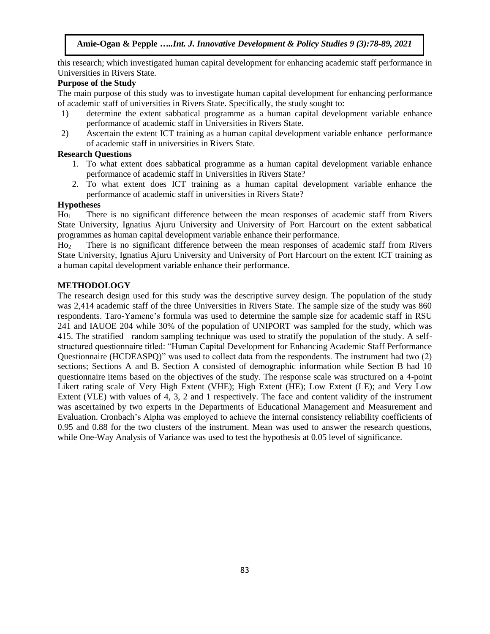this research; which investigated human capital development for enhancing academic staff performance in Universities in Rivers State.

# **Purpose of the Study**

The main purpose of this study was to investigate human capital development for enhancing performance of academic staff of universities in Rivers State. Specifically, the study sought to:

- 1) determine the extent sabbatical programme as a human capital development variable enhance performance of academic staff in Universities in Rivers State.
- 2) Ascertain the extent ICT training as a human capital development variable enhance performance of academic staff in universities in Rivers State.

# **Research Questions**

- 1. To what extent does sabbatical programme as a human capital development variable enhance performance of academic staff in Universities in Rivers State?
- 2. To what extent does ICT training as a human capital development variable enhance the performance of academic staff in universities in Rivers State?

# **Hypotheses**

Ho<sup>1</sup> There is no significant difference between the mean responses of academic staff from Rivers State University, Ignatius Ajuru University and University of Port Harcourt on the extent sabbatical programmes as human capital development variable enhance their performance.

Ho<sup>2</sup> There is no significant difference between the mean responses of academic staff from Rivers State University, Ignatius Ajuru University and University of Port Harcourt on the extent ICT training as a human capital development variable enhance their performance.

# **METHODOLOGY**

The research design used for this study was the descriptive survey design. The population of the study was 2,414 academic staff of the three Universities in Rivers State. The sample size of the study was 860 respondents. Taro-Yamene's formula was used to determine the sample size for academic staff in RSU 241 and IAUOE 204 while 30% of the population of UNIPORT was sampled for the study, which was 415. The stratified random sampling technique was used to stratify the population of the study. A selfstructured questionnaire titled: "Human Capital Development for Enhancing Academic Staff Performance Questionnaire (HCDEASPQ)" was used to collect data from the respondents. The instrument had two (2) sections; Sections A and B. Section A consisted of demographic information while Section B had 10 questionnaire items based on the objectives of the study. The response scale was structured on a 4-point Likert rating scale of Very High Extent (VHE); High Extent (HE); Low Extent (LE); and Very Low Extent (VLE) with values of 4, 3, 2 and 1 respectively. The face and content validity of the instrument was ascertained by two experts in the Departments of Educational Management and Measurement and Evaluation. Cronbach's Alpha was employed to achieve the internal consistency reliability coefficients of 0.95 and 0.88 for the two clusters of the instrument. Mean was used to answer the research questions, while One-Way Analysis of Variance was used to test the hypothesis at 0.05 level of significance.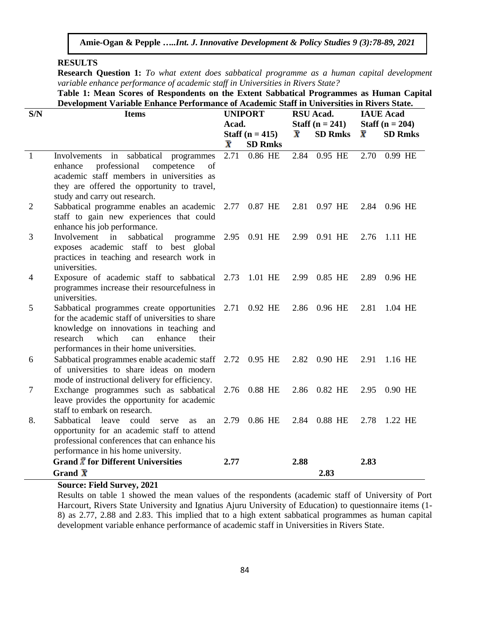# **RESULTS**

**Research Question 1:** *To what extent does sabbatical programme as a human capital development variable enhance performance of academic staff in Universities in Rivers State?*

| Table 1: Mean Scores of Respondents on the Extent Sabbatical Programmes as Human Capital    |
|---------------------------------------------------------------------------------------------|
| Development Variable Enhance Performance of Academic Staff in Universities in Rivers State. |

| S/N            | <b>Items</b>                                                                                                                                             | <b>UNIPORT</b>          |                   |      | RSU Acad.         | <b>IAUE</b> Acad        |                |  |
|----------------|----------------------------------------------------------------------------------------------------------------------------------------------------------|-------------------------|-------------------|------|-------------------|-------------------------|----------------|--|
|                |                                                                                                                                                          | Acad.                   |                   |      | Staff $(n = 241)$ | Staff ( $n = 204$ )     |                |  |
|                |                                                                                                                                                          |                         | Staff $(n = 415)$ |      | <b>SD Rmks</b>    | $\overline{\textbf{x}}$ | <b>SD Rmks</b> |  |
|                |                                                                                                                                                          | $\overline{\textbf{x}}$ | <b>SD Rmks</b>    |      |                   |                         |                |  |
| $\overline{1}$ | in sabbatical<br>Involvements<br>programmes                                                                                                              | 2.71                    | 0.86 HE           | 2.84 | 0.95 HE           | 2.70                    | 0.99 HE        |  |
|                | professional<br>of<br>competence<br>enhance                                                                                                              |                         |                   |      |                   |                         |                |  |
|                | academic staff members in universities as                                                                                                                |                         |                   |      |                   |                         |                |  |
|                | they are offered the opportunity to travel,                                                                                                              |                         |                   |      |                   |                         |                |  |
|                | study and carry out research.                                                                                                                            |                         |                   |      |                   |                         |                |  |
| $\overline{2}$ | Sabbatical programme enables an academic 2.77 0.87 HE<br>staff to gain new experiences that could                                                        |                         |                   | 2.81 | 0.97 HE           |                         | 2.84 0.96 HE   |  |
|                | enhance his job performance.                                                                                                                             |                         |                   |      |                   |                         |                |  |
| 3              | sabbatical<br>programme 2.95 0.91 HE<br>Involvement<br>in                                                                                                |                         |                   |      | 2.99 0.91 HE      | 2.76                    | 1.11 HE        |  |
|                | exposes academic staff to best global                                                                                                                    |                         |                   |      |                   |                         |                |  |
|                | practices in teaching and research work in                                                                                                               |                         |                   |      |                   |                         |                |  |
|                | universities.                                                                                                                                            |                         |                   |      |                   |                         |                |  |
| 4              | Exposure of academic staff to sabbatical 2.73                                                                                                            |                         | 1.01 HE           | 2.99 | 0.85 HE           | 2.89                    | 0.96 HE        |  |
|                | programmes increase their resourcefulness in                                                                                                             |                         |                   |      |                   |                         |                |  |
|                | universities.                                                                                                                                            |                         |                   |      |                   |                         |                |  |
| 5              | Sabbatical programmes create opportunities 2.71 0.92 HE<br>for the academic staff of universities to share                                               |                         |                   |      | 2.86 0.96 HE      | 2.81                    | 1.04 HE        |  |
|                | knowledge on innovations in teaching and                                                                                                                 |                         |                   |      |                   |                         |                |  |
|                | which<br>research<br>enhance<br>their<br>can                                                                                                             |                         |                   |      |                   |                         |                |  |
|                | performances in their home universities.                                                                                                                 |                         |                   |      |                   |                         |                |  |
| 6              | Sabbatical programmes enable academic staff                                                                                                              |                         | 2.72 0.95 HE      |      | 2.82 0.90 HE      | 2.91                    | 1.16 HE        |  |
|                | of universities to share ideas on modern                                                                                                                 |                         |                   |      |                   |                         |                |  |
|                | mode of instructional delivery for efficiency.                                                                                                           |                         |                   |      |                   |                         |                |  |
| $\tau$         | Exchange programmes such as sabbatical                                                                                                                   | 2.76                    | 0.88 HE           |      | 2.86 0.82 HE      | 2.95                    | 0.90 HE        |  |
|                | leave provides the opportunity for academic                                                                                                              |                         |                   |      |                   |                         |                |  |
| 8.             | staff to embark on research.                                                                                                                             | 2.79                    | 0.86 HE           |      | 2.84 0.88 HE      | 2.78                    | 1.22 HE        |  |
|                | Sabbatical<br>leave<br>could<br>serve<br><b>as</b><br>an<br>opportunity for an academic staff to attend<br>professional conferences that can enhance his |                         |                   |      |                   |                         |                |  |
|                |                                                                                                                                                          |                         |                   |      |                   |                         |                |  |
|                | performance in his home university.                                                                                                                      |                         |                   |      |                   |                         |                |  |
|                | Grand $\bar{X}$ for Different Universities                                                                                                               | 2.77                    |                   | 2.88 |                   | 2.83                    |                |  |
|                | Grand $\bar{\mathbf{X}}$                                                                                                                                 |                         |                   |      | 2.83              |                         |                |  |

# **Source: Field Survey, 2021**

Results on table 1 showed the mean values of the respondents (academic staff of University of Port Harcourt, Rivers State University and Ignatius Ajuru University of Education) to questionnaire items (1- 8) as 2.77, 2.88 and 2.83. This implied that to a high extent sabbatical programmes as human capital development variable enhance performance of academic staff in Universities in Rivers State.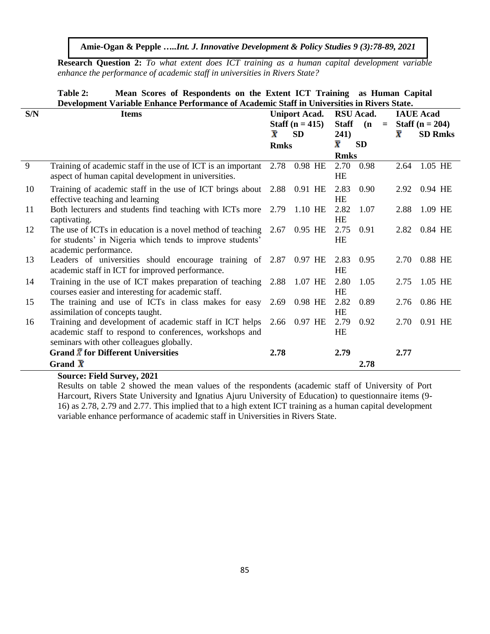**Research Question 2:** *To what extent does ICT training as a human capital development variable enhance the performance of academic staff in universities in Rivers State?*

|                | mean beares of respondents on the EXtent Text Training<br>аз пишан саркаг<br>Development Variable Enhance Performance of Academic Staff in Universities in Rivers State. |                                      |                      |                   |      |          |                    |                     |  |  |  |
|----------------|--------------------------------------------------------------------------------------------------------------------------------------------------------------------------|--------------------------------------|----------------------|-------------------|------|----------|--------------------|---------------------|--|--|--|
| S/N            | <b>Items</b>                                                                                                                                                             |                                      | <b>Uniport Acad.</b> | <b>RSU</b> Acad.  |      |          | <b>IAUE</b> Acad   |                     |  |  |  |
|                |                                                                                                                                                                          | <b>Staff</b> $(n = 415)$             |                      | <b>Staff</b>      | (n)  | $\equiv$ |                    | Staff ( $n = 204$ ) |  |  |  |
|                |                                                                                                                                                                          | $\overline{\textbf{x}}$<br><b>SD</b> |                      | 241)              |      |          | $\bar{\textbf{x}}$ | <b>SD Rmks</b>      |  |  |  |
|                |                                                                                                                                                                          | <b>Rmks</b>                          |                      | <b>SD</b><br>X.   |      |          |                    |                     |  |  |  |
|                |                                                                                                                                                                          |                                      |                      | <b>Rmks</b>       |      |          |                    |                     |  |  |  |
| $\overline{9}$ | Training of academic staff in the use of ICT is an important<br>aspect of human capital development in universities.                                                     |                                      | 2.78 0.98 HE         | 2.70<br><b>HE</b> | 0.98 |          | 2.64               | 1.05 HE             |  |  |  |
| 10             | Training of academic staff in the use of ICT brings about 2.88 0.91 HE<br>effective teaching and learning                                                                |                                      |                      | 2.83<br><b>HE</b> | 0.90 |          | 2.92               | 0.94 HE             |  |  |  |
| 11             | Both lecturers and students find teaching with ICTs more<br>captivating.                                                                                                 |                                      | 2.79 1.10 HE         | 2.82<br>HE        | 1.07 |          | 2.88               | 1.09 HE             |  |  |  |
| 12             | The use of ICTs in education is a novel method of teaching $2.67$<br>for students' in Nigeria which tends to improve students'<br>academic performance.                  |                                      | 0.95 HE              | 2.75<br>HE        | 0.91 |          | 2.82               | 0.84 HE             |  |  |  |
| 13             | Leaders of universities should encourage training of 2.87 0.97 HE<br>academic staff in ICT for improved performance.                                                     |                                      |                      | 2.83<br>HE        | 0.95 |          | 2.70               | 0.88 HE             |  |  |  |
| 14             | Training in the use of ICT makes preparation of teaching 2.88 1.07 HE<br>courses easier and interesting for academic staff.                                              |                                      |                      | 2.80<br><b>HE</b> | 1.05 |          | 2.75               | 1.05 HE             |  |  |  |
| 15             | The training and use of ICTs in class makes for easy 2.69 0.98 HE<br>assimilation of concepts taught.                                                                    |                                      |                      | 2.82<br>HE        | 0.89 |          | 2.76               | 0.86 HE             |  |  |  |
| 16             | Training and development of academic staff in ICT helps<br>academic staff to respond to conferences, workshops and<br>seminars with other colleagues globally.           |                                      | 2.66 0.97 HE         | 2.79<br><b>HE</b> | 0.92 |          | 2.70               | 0.91 HE             |  |  |  |
|                | Grand $\bar{X}$ for Different Universities<br>Grand $\bar{X}$                                                                                                            | 2.78                                 |                      | 2.79              |      |          | 2.77               |                     |  |  |  |
|                |                                                                                                                                                                          |                                      |                      |                   | 2.78 |          |                    |                     |  |  |  |

# **Table 2: Mean Scores of Respondents on the Extent ICT Training as Human Capital**

# **Source: Field Survey, 2021**

Results on table 2 showed the mean values of the respondents (academic staff of University of Port Harcourt, Rivers State University and Ignatius Ajuru University of Education) to questionnaire items (9- 16) as 2.78, 2.79 and 2.77. This implied that to a high extent ICT training as a human capital development variable enhance performance of academic staff in Universities in Rivers State.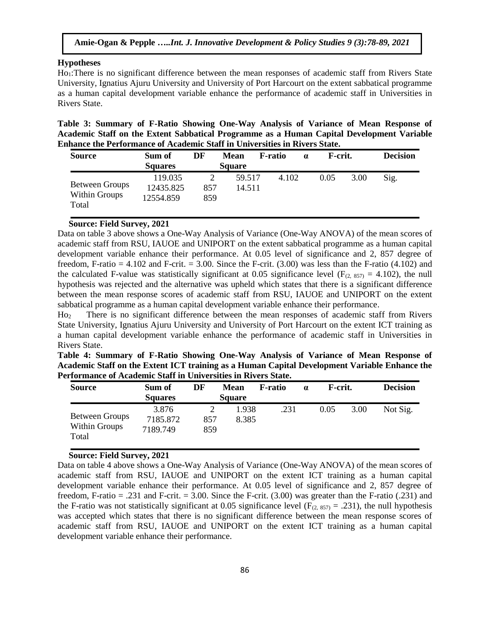#### **Hypotheses**

Ho<sub>1</sub>:There is no significant difference between the mean responses of academic staff from Rivers State University, Ignatius Ajuru University and University of Port Harcourt on the extent sabbatical programme as a human capital development variable enhance the performance of academic staff in Universities in Rivers State.

**Table 3: Summary of F-Ratio Showing One-Way Analysis of Variance of Mean Response of Academic Staff on the Extent Sabbatical Programme as a Human Capital Development Variable Enhance the Performance of Academic Staff in Universities in Rivers State.**

| <b>Source</b>                            | Sum of<br><b>Squares</b>          | DF              | <b>Mean</b><br><b>Square</b> | F-ratio | $\alpha$ | F-crit. |      | <b>Decision</b> |
|------------------------------------------|-----------------------------------|-----------------|------------------------------|---------|----------|---------|------|-----------------|
| Between Groups<br>Within Groups<br>Total | 119.035<br>12435.825<br>12554.859 | ∍<br>857<br>859 | 59.517<br>14.511             | 4.102   |          | 0.05    | 3.00 | Sig.            |

#### **Source: Field Survey, 2021**

Data on table 3 above shows a One-Way Analysis of Variance (One-Way ANOVA) of the mean scores of academic staff from RSU, IAUOE and UNIPORT on the extent sabbatical programme as a human capital development variable enhance their performance. At 0.05 level of significance and 2, 857 degree of freedom, F-ratio = 4.102 and F-crit. = 3.00. Since the F-crit.  $(3.00)$  was less than the F-ratio  $(4.102)$  and the calculated F-value was statistically significant at 0.05 significance level ( $F_{(2, 857)} = 4.102$ ), the null hypothesis was rejected and the alternative was upheld which states that there is a significant difference between the mean response scores of academic staff from RSU, IAUOE and UNIPORT on the extent sabbatical programme as a human capital development variable enhance their performance.

Ho<sup>2</sup> There is no significant difference between the mean responses of academic staff from Rivers State University, Ignatius Ajuru University and University of Port Harcourt on the extent ICT training as a human capital development variable enhance the performance of academic staff in Universities in Rivers State.

|  | Table 4: Summary of F-Ratio Showing One-Way Analysis of Variance of Mean Response of          |  |  |  |  |
|--|-----------------------------------------------------------------------------------------------|--|--|--|--|
|  | Academic Staff on the Extent ICT training as a Human Capital Development Variable Enhance the |  |  |  |  |
|  | Performance of Academic Staff in Universities in Rivers State.                                |  |  |  |  |

| <b>Source</b>                            | Sum of<br><b>Squares</b>      | DF         | <b>Mean</b><br><b>Square</b> | <b>F</b> -ratio | $\alpha$ | F-crit. |      | <b>Decision</b> |
|------------------------------------------|-------------------------------|------------|------------------------------|-----------------|----------|---------|------|-----------------|
| Between Groups<br>Within Groups<br>Total | 3.876<br>7185.872<br>7189.749 | 857<br>859 | 1.938<br>8.385               | .231            |          | 0.05    | 3.00 | Not Sig.        |

#### **Source: Field Survey, 2021**

Data on table 4 above shows a One-Way Analysis of Variance (One-Way ANOVA) of the mean scores of academic staff from RSU, IAUOE and UNIPORT on the extent ICT training as a human capital development variable enhance their performance. At 0.05 level of significance and 2, 857 degree of freedom, F-ratio  $= .231$  and F-crit.  $= 3.00$ . Since the F-crit. (3.00) was greater than the F-ratio (.231) and the F-ratio was not statistically significant at 0.05 significance level ( $F_{(2, 857)} = .231$ ), the null hypothesis was accepted which states that there is no significant difference between the mean response scores of academic staff from RSU, IAUOE and UNIPORT on the extent ICT training as a human capital development variable enhance their performance.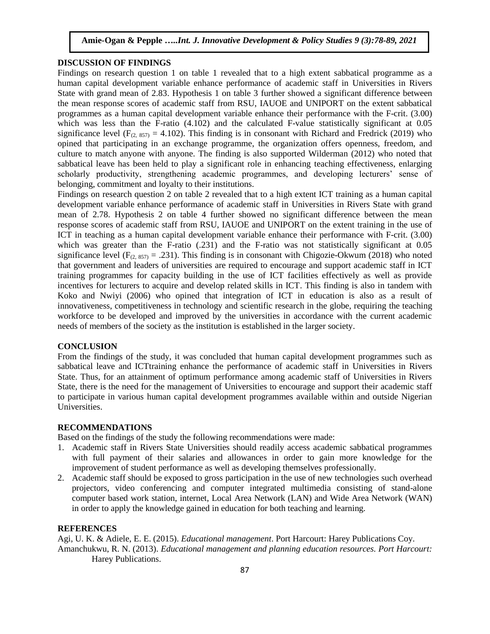# **DISCUSSION OF FINDINGS**

Findings on research question 1 on table 1 revealed that to a high extent sabbatical programme as a human capital development variable enhance performance of academic staff in Universities in Rivers State with grand mean of 2.83. Hypothesis 1 on table 3 further showed a significant difference between the mean response scores of academic staff from RSU, IAUOE and UNIPORT on the extent sabbatical programmes as a human capital development variable enhance their performance with the F-crit. (3.00) which was less than the F-ratio (4.102) and the calculated F-value statistically significant at 0.05 significance level ( $F_{(2, 857)} = 4.102$ ). This finding is in consonant with Richard and Fredrick (2019) who opined that participating in an exchange programme, the organization offers openness, freedom, and culture to match anyone with anyone. The finding is also supported Wilderman (2012) who noted that sabbatical leave has been held to play a significant role in enhancing teaching effectiveness, enlarging scholarly productivity, strengthening academic programmes, and developing lecturers' sense of belonging, commitment and loyalty to their institutions.

Findings on research question 2 on table 2 revealed that to a high extent ICT training as a human capital development variable enhance performance of academic staff in Universities in Rivers State with grand mean of 2.78. Hypothesis 2 on table 4 further showed no significant difference between the mean response scores of academic staff from RSU, IAUOE and UNIPORT on the extent training in the use of ICT in teaching as a human capital development variable enhance their performance with F-crit. (3.00) which was greater than the F-ratio (.231) and the F-ratio was not statistically significant at 0.05 significance level ( $F_{(2, 857)} = .231$ ). This finding is in consonant with Chigozie-Okwum (2018) who noted that government and leaders of universities are required to encourage and support academic staff in ICT training programmes for capacity building in the use of ICT facilities effectively as well as provide incentives for lecturers to acquire and develop related skills in ICT. This finding is also in tandem with Koko and Nwiyi (2006) who opined that integration of ICT in education is also as a result of innovativeness, competitiveness in technology and scientific research in the globe, requiring the teaching workforce to be developed and improved by the universities in accordance with the current academic needs of members of the society as the institution is established in the larger society.

#### **CONCLUSION**

From the findings of the study, it was concluded that human capital development programmes such as sabbatical leave and ICTtraining enhance the performance of academic staff in Universities in Rivers State. Thus, for an attainment of optimum performance among academic staff of Universities in Rivers State, there is the need for the management of Universities to encourage and support their academic staff to participate in various human capital development programmes available within and outside Nigerian Universities.

### **RECOMMENDATIONS**

Based on the findings of the study the following recommendations were made:

- 1. Academic staff in Rivers State Universities should readily access academic sabbatical programmes with full payment of their salaries and allowances in order to gain more knowledge for the improvement of student performance as well as developing themselves professionally.
- 2. Academic staff should be exposed to gross participation in the use of new technologies such overhead projectors, video conferencing and computer integrated multimedia consisting of stand-alone computer based work station, internet, Local Area Network (LAN) and Wide Area Network (WAN) in order to apply the knowledge gained in education for both teaching and learning.

# **REFERENCES**

Agi, U. K. & Adiele, E. E. (2015). *Educational management*. Port Harcourt: Harey Publications Coy. Amanchukwu, R. N. (2013). *Educational management and planning education resources. Port Harcourt:*  Harey Publications.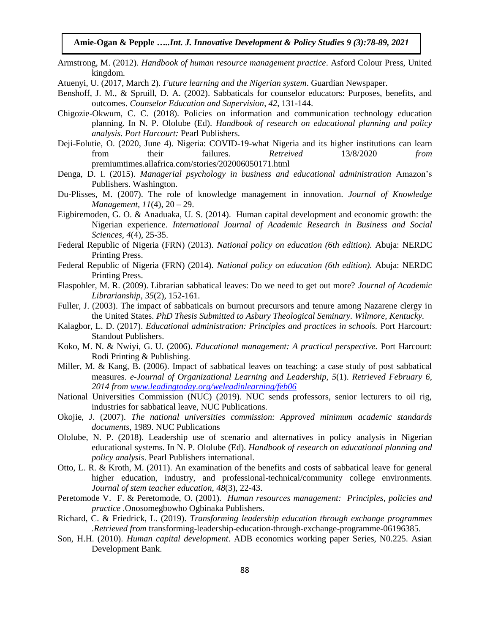**Amie-Ogan & Pepple …***..Int. J. Innovative Development & Policy Studies 9 (3):78-89, 2021*

- Armstrong, M. (2012). *Handbook of human resource management practice*. Asford Colour Press, United kingdom.
- Atuenyi, U. (2017, March 2). *Future learning and the Nigerian system*. Guardian Newspaper.
- Benshoff, J. M., & Spruill, D. A. (2002). Sabbaticals for counselor educators: Purposes, benefits, and outcomes. *Counselor Education and Supervision*, *42*, 131-144.
- Chigozie-Okwum, C. C. (2018). Policies on information and communication technology education planning. In N. P. Ololube (Ed). *Handbook of research on educational planning and policy analysis. Port Harcourt:* Pearl Publishers.
- Deji-Folutie, O. (2020, June 4). Nigeria: COVID-19-what Nigeria and its higher institutions can learn from their failures*. Retreived* 13/8/2020 *from*  premiumtimes.allafrica.com/stories/202006050171.html
- Denga, D. I. (2015). *Managerial psychology in business and educational administration* Amazon's Publishers. Washington.
- Du-Plisses, M. (2007). The role of knowledge management in innovation. *Journal of Knowledge Management, 11*(4), 20 – 29.
- Eigbiremoden, G. O. & Anaduaka, U. S. (2014). Human capital development and economic growth: the Nigerian experience. *International Journal of Academic Research in Business and Social Sciences, 4*(4), 25-35.
- Federal Republic of Nigeria (FRN) (2013). *National policy on education (6th edition).* Abuja: NERDC Printing Press.
- Federal Republic of Nigeria (FRN) (2014). *National policy on education (6th edition).* Abuja: NERDC Printing Press.
- Flaspohler, M. R. (2009). Librarian sabbatical leaves: Do we need to get out more? *Journal of Academic Librarianship, 35*(2), 152-161.
- Fuller, J. (2003). The impact of sabbaticals on burnout precursors and tenure among Nazarene clergy in the United States. *PhD Thesis Submitted to Asbury Theological Seminary. Wilmore, Kentucky.*
- Kalagbor, L. D. (2017). *Educational administration: Principles and practices in schools.* Port Harcourt*:*  Standout Publishers.
- Koko, M. N. & Nwiyi, G. U. (2006). *Educational management: A practical perspective.* Port Harcourt: Rodi Printing & Publishing*.*
- Miller, M. & Kang, B. (2006). Impact of sabbatical leaves on teaching: a case study of post sabbatical measures. *e-Journal of Organizational Learning and Leadership, 5*(1). *Retrieved February 6, 2014 from [www.leadingtoday.org/weleadinlearning/feb06](http://www.leadingtoday.org/weleadinlearning/feb06)*
- National Universities Commission (NUC) (2019). NUC sends professors, senior lecturers to oil rig, industries for sabbatical leave, NUC Publications.
- Okojie, J. (2007). *The national universities commission: Approved minimum academic standards documents,* 1989. NUC Publications
- Ololube, N. P. (2018). Leadership use of scenario and alternatives in policy analysis in Nigerian educational systems. In N. P. Ololube (Ed). *Handbook of research on educational planning and policy analysis*. Pearl Publishers international.
- Otto, L. R. & Kroth, M. (2011). An examination of the benefits and costs of sabbatical leave for general higher education, industry, and professional-technical/community college environments. *Journal of stem teacher education, 48*(3), 22-43.
- Peretomode V. F. & Peretomode, O. (2001). *Human resources management: Principles, policies and practice .*Onosomegbowho Ogbinaka Publishers.
- Richard, C. & Friedrick, L. (2019). *Transforming leadership education through exchange programmes .Retrieved from* transforming-leadership-education-through-exchange-programme-06196385.
- Son, H.H. (2010). *Human capital development*. ADB economics working paper Series, N0.225. Asian Development Bank.